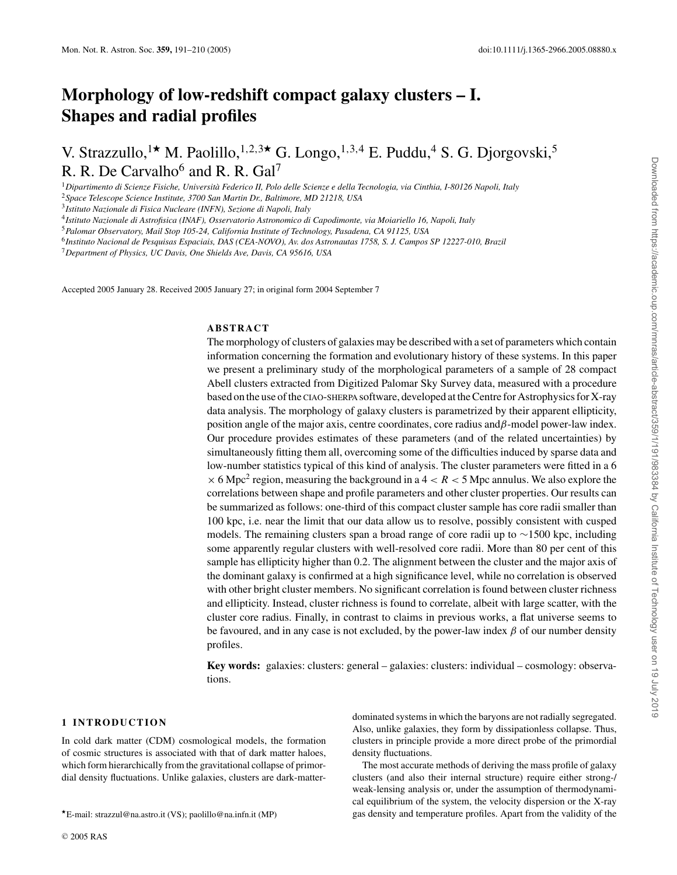# **Morphology of low-redshift compact galaxy clusters – I. Shapes and radial profiles**

## V. Strazzullo,<sup>1\*</sup> M. Paolillo,<sup>1,2,3\*</sup> G. Longo,<sup>1,3,4</sup> E. Puddu,<sup>4</sup> S. G. Djorgovski,<sup>5</sup> R. R. De Carvalho<sup>6</sup> and R. R. Gal<sup>7</sup>

<sup>1</sup>*Dipartimento di Scienze Fisiche, Universita F` ederico II, Polo delle Scienze e della Tecnologia, via Cinthia, I-80126 Napoli, Italy*

<sup>2</sup>*Space Telescope Science Institute, 3700 San Martin Dr., Baltimore, MD 21218, USA*

<sup>4</sup>*Istituto Nazionale di Astrofisica (INAF), Osservatorio Astronomico di Capodimonte, via Moiariello 16, Napoli, Italy*

<sup>5</sup>*Palomar Observatory, Mail Stop 105-24, California Institute of Technology, Pasadena, CA 91125, USA*

<sup>6</sup>*Instituto Nacional de Pesquisas Espaciais, DAS (CEA-NOVO), Av. dos Astronautas 1758, S. J. Campos SP 12227-010, Brazil*

<sup>7</sup>*Department of Physics, UC Davis, One Shields Ave, Davis, CA 95616, USA*

Accepted 2005 January 28. Received 2005 January 27; in original form 2004 September 7

## **ABSTRACT**

The morphology of clusters of galaxies may be described with a set of parameters which contain information concerning the formation and evolutionary history of these systems. In this paper we present a preliminary study of the morphological parameters of a sample of 28 compact Abell clusters extracted from Digitized Palomar Sky Survey data, measured with a procedure based on the use of the CIAO-SHERPA software, developed at the Centre for Astrophysics for X-ray data analysis. The morphology of galaxy clusters is parametrized by their apparent ellipticity, position angle of the major axis, centre coordinates, core radius and $\beta$ -model power-law index. Our procedure provides estimates of these parameters (and of the related uncertainties) by simultaneously fitting them all, overcoming some of the difficulties induced by sparse data and low-number statistics typical of this kind of analysis. The cluster parameters were fitted in a 6  $\times$  6 Mpc<sup>2</sup> region, measuring the background in a 4  $\lt R$   $\lt$  5 Mpc annulus. We also explore the correlations between shape and profile parameters and other cluster properties. Our results can be summarized as follows: one-third of this compact cluster sample has core radii smaller than 100 kpc, i.e. near the limit that our data allow us to resolve, possibly consistent with cusped models. The remaining clusters span a broad range of core radii up to ∼1500 kpc, including some apparently regular clusters with well-resolved core radii. More than 80 per cent of this sample has ellipticity higher than 0.2. The alignment between the cluster and the major axis of the dominant galaxy is confirmed at a high significance level, while no correlation is observed with other bright cluster members. No significant correlation is found between cluster richness and ellipticity. Instead, cluster richness is found to correlate, albeit with large scatter, with the cluster core radius. Finally, in contrast to claims in previous works, a flat universe seems to be favoured, and in any case is not excluded, by the power-law index  $\beta$  of our number density profiles.

**Key words:** galaxies: clusters: general – galaxies: clusters: individual – cosmology: observations.

## **1 INTRODUCTION**

In cold dark matter (CDM) cosmological models, the formation of cosmic structures is associated with that of dark matter haloes, which form hierarchically from the gravitational collapse of primordial density fluctuations. Unlike galaxies, clusters are dark-matterdominated systems in which the baryons are not radially segregated. Also, unlike galaxies, they form by dissipationless collapse. Thus, clusters in principle provide a more direct probe of the primordial density fluctuations.

The most accurate methods of deriving the mass profile of galaxy clusters (and also their internal structure) require either strong-/ weak-lensing analysis or, under the assumption of thermodynamical equilibrium of the system, the velocity dispersion or the X-ray gas density and temperature profiles. Apart from the validity of the

<sup>3</sup>*Istituto Nazionale di Fisica Nucleare (INFN), Sezione di Napoli, Italy*

E-mail: strazzul@na.astro.it (VS); paolillo@na.infn.it (MP)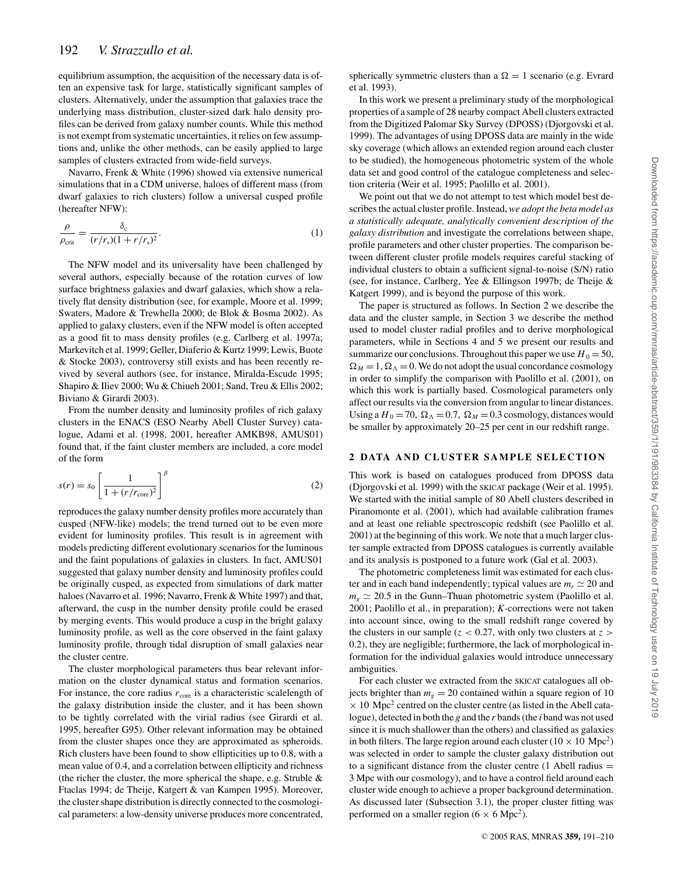equilibrium assumption, the acquisition of the necessary data is often an expensive task for large, statistically significant samples of clusters. Alternatively, under the assumption that galaxies trace the underlying mass distribution, cluster-sized dark halo density profiles can be derived from galaxy number counts. While this method is not exempt from systematic uncertainties, it relies on few assumptions and, unlike the other methods, can be easily applied to large samples of clusters extracted from wide-field surveys.

Navarro, Frenk & White (1996) showed via extensive numerical simulations that in a CDM universe, haloes of different mass (from dwarf galaxies to rich clusters) follow a universal cusped profile (hereafter NFW):

$$
\frac{\rho}{\rho_{\rm crit}} = \frac{\delta_{\rm c}}{(r/r_{\rm s})(1+r/r_{\rm s})^2}.\tag{1}
$$

The NFW model and its universality have been challenged by several authors, especially because of the rotation curves of low surface brightness galaxies and dwarf galaxies, which show a relatively flat density distribution (see, for example, Moore et al. 1999; Swaters, Madore & Trewhella 2000; de Blok & Bosma 2002). As applied to galaxy clusters, even if the NFW model is often accepted as a good fit to mass density profiles (e.g. Carlberg et al. 1997a; Markevitch et al. 1999; Geller, Diaferio & Kurtz 1999; Lewis, Buote & Stocke 2003), controversy still exists and has been recently revived by several authors (see, for instance, Miralda-Escude 1995; Shapiro & Iliev 2000; Wu & Chiueh 2001; Sand, Treu & Ellis 2002; Biviano & Girardi 2003).

From the number density and luminosity profiles of rich galaxy clusters in the ENACS (ESO Nearby Abell Cluster Survey) catalogue, Adami et al. (1998, 2001, hereafter AMKB98, AMUS01) found that, if the faint cluster members are included, a core model of the form

$$
s(r) = s_0 \left[ \frac{1}{1 + (r/r_{\text{core}})^2} \right]^{\beta} \tag{2}
$$

reproduces the galaxy number density profiles more accurately than cusped (NFW-like) models; the trend turned out to be even more evident for luminosity profiles. This result is in agreement with models predicting different evolutionary scenarios for the luminous and the faint populations of galaxies in clusters. In fact, AMUS01 suggested that galaxy number density and luminosity profiles could be originally cusped, as expected from simulations of dark matter haloes (Navarro et al. 1996; Navarro, Frenk & White 1997) and that, afterward, the cusp in the number density profile could be erased by merging events. This would produce a cusp in the bright galaxy luminosity profile, as well as the core observed in the faint galaxy luminosity profile, through tidal disruption of small galaxies near the cluster centre.

The cluster morphological parameters thus bear relevant information on the cluster dynamical status and formation scenarios. For instance, the core radius  $r_{\text{core}}$  is a characteristic scalelength of the galaxy distribution inside the cluster, and it has been shown to be tightly correlated with the virial radius (see Girardi et al. 1995, hereafter G95). Other relevant information may be obtained from the cluster shapes once they are approximated as spheroids. Rich clusters have been found to show ellipticities up to 0.8, with a mean value of 0.4, and a correlation between ellipticity and richness (the richer the cluster, the more spherical the shape, e.g. Struble & Ftaclas 1994; de Theije, Katgert & van Kampen 1995). Moreover, the cluster shape distribution is directly connected to the cosmological parameters: a low-density universe produces more concentrated,

spherically symmetric clusters than a  $\Omega = 1$  scenario (e.g. Evrard et al. 1993).

In this work we present a preliminary study of the morphological properties of a sample of 28 nearby compact Abell clusters extracted from the Digitized Palomar Sky Survey (DPOSS) (Djorgovski et al. 1999). The advantages of using DPOSS data are mainly in the wide sky coverage (which allows an extended region around each cluster to be studied), the homogeneous photometric system of the whole data set and good control of the catalogue completeness and selection criteria (Weir et al. 1995; Paolillo et al. 2001).

We point out that we do not attempt to test which model best describes the actual cluster profile. Instead, *we adopt the beta model as a statistically adequate, analytically convenient description of the galaxy distribution* and investigate the correlations between shape, profile parameters and other cluster properties. The comparison between different cluster profile models requires careful stacking of individual clusters to obtain a sufficient signal-to-noise (S/N) ratio (see, for instance, Carlberg, Yee & Ellingson 1997b; de Theije & Katgert 1999), and is beyond the purpose of this work.

The paper is structured as follows. In Section 2 we describe the data and the cluster sample, in Section 3 we describe the method used to model cluster radial profiles and to derive morphological parameters, while in Sections 4 and 5 we present our results and summarize our conclusions. Throughout this paper we use  $H_0 = 50$ ,  $\Omega_M = 1$ ,  $\Omega_{\Lambda} = 0$ . We do not adopt the usual concordance cosmology in order to simplify the comparison with Paolillo et al. (2001), on which this work is partially based. Cosmological parameters only affect our results via the conversion from angular to linear distances. Using a  $H_0 = 70$ ,  $\Omega_{\Lambda} = 0.7$ ,  $\Omega_M = 0.3$  cosmology, distances would be smaller by approximately 20–25 per cent in our redshift range.

## **2 DATA AND CLUSTER SAMPLE SELECTION**

This work is based on catalogues produced from DPOSS data (Djorgovski et al. 1999) with the SKICAT package (Weir et al. 1995). We started with the initial sample of 80 Abell clusters described in Piranomonte et al. (2001), which had available calibration frames and at least one reliable spectroscopic redshift (see Paolillo et al. 2001) at the beginning of this work. We note that a much larger cluster sample extracted from DPOSS catalogues is currently available and its analysis is postponed to a future work (Gal et al. 2003).

The photometric completeness limit was estimated for each cluster and in each band independently; typical values are  $m_r \simeq 20$  and  $m_g \simeq 20.5$  in the Gunn–Thuan photometric system (Paolillo et al. 2001; Paolillo et al., in preparation); *K*-corrections were not taken into account since, owing to the small redshift range covered by the clusters in our sample ( $z$  < 0.27, with only two clusters at  $z$  > 0.2), they are negligible; furthermore, the lack of morphological information for the individual galaxies would introduce unnecessary ambiguities.

For each cluster we extracted from the SKICAT catalogues all objects brighter than  $m<sub>g</sub> = 20$  contained within a square region of 10  $\times$  10 Mpc<sup>2</sup> centred on the cluster centre (as listed in the Abell catalogue), detected in both the *g* and the *r* bands (the *i* band was not used since it is much shallower than the others) and classified as galaxies in both filters. The large region around each cluster ( $10 \times 10 \text{ Mpc}^2$ ) was selected in order to sample the cluster galaxy distribution out to a significant distance from the cluster centre  $(1$  Abell radius  $=$ 3 Mpc with our cosmology), and to have a control field around each cluster wide enough to achieve a proper background determination. As discussed later (Subsection 3.1), the proper cluster fitting was performed on a smaller region ( $6 \times 6$  Mpc<sup>2</sup>).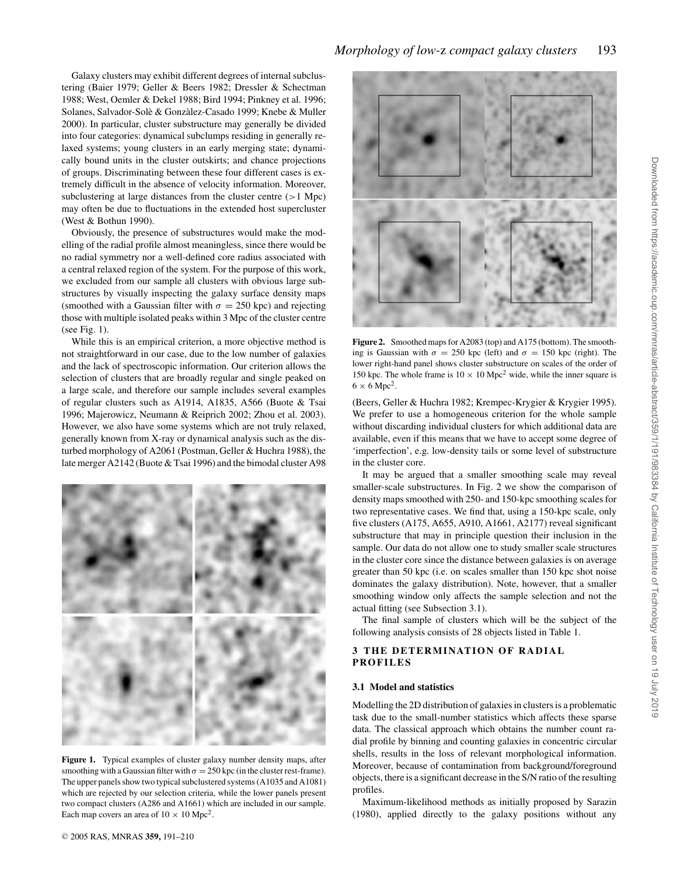Galaxy clusters may exhibit different degrees of internal subclustering (Baier 1979; Geller & Beers 1982; Dressler & Schectman 1988; West, Oemler & Dekel 1988; Bird 1994; Pinkney et al. 1996; Solanes, Salvador-Solè & Gonzàlez-Casado 1999; Knebe & Muller 2000). In particular, cluster substructure may generally be divided into four categories: dynamical subclumps residing in generally relaxed systems; young clusters in an early merging state; dynamically bound units in the cluster outskirts; and chance projections of groups. Discriminating between these four different cases is extremely difficult in the absence of velocity information. Moreover, subclustering at large distances from the cluster centre  $(>1$  Mpc) may often be due to fluctuations in the extended host supercluster (West & Bothun 1990).

Obviously, the presence of substructures would make the modelling of the radial profile almost meaningless, since there would be no radial symmetry nor a well-defined core radius associated with a central relaxed region of the system. For the purpose of this work, we excluded from our sample all clusters with obvious large substructures by visually inspecting the galaxy surface density maps (smoothed with a Gaussian filter with  $\sigma = 250$  kpc) and rejecting those with multiple isolated peaks within 3 Mpc of the cluster centre (see Fig. 1).

While this is an empirical criterion, a more objective method is not straightforward in our case, due to the low number of galaxies and the lack of spectroscopic information. Our criterion allows the selection of clusters that are broadly regular and single peaked on a large scale, and therefore our sample includes several examples of regular clusters such as A1914, A1835, A566 (Buote & Tsai 1996; Majerowicz, Neumann & Reiprich 2002; Zhou et al. 2003). However, we also have some systems which are not truly relaxed, generally known from X-ray or dynamical analysis such as the disturbed morphology of A2061 (Postman, Geller & Huchra 1988), the late merger A2142 (Buote & Tsai 1996) and the bimodal cluster A98



**Figure 1.** Typical examples of cluster galaxy number density maps, after smoothing with a Gaussian filter with  $\sigma = 250$  kpc (in the cluster rest-frame). The upper panels show two typical subclustered systems (A1035 and A1081) which are rejected by our selection criteria, while the lower panels present two compact clusters (A286 and A1661) which are included in our sample. Each map covers an area of  $10 \times 10$  Mpc<sup>2</sup>.



**Figure 2.** Smoothed maps for A2083 (top) and A175 (bottom). The smoothing is Gaussian with  $\sigma = 250$  kpc (left) and  $\sigma = 150$  kpc (right). The lower right-hand panel shows cluster substructure on scales of the order of 150 kpc. The whole frame is  $10 \times 10 \text{ Mpc}^2$  wide, while the inner square is  $6 \times 6$  Mpc<sup>2</sup>.

(Beers, Geller & Huchra 1982; Krempec-Krygier & Krygier 1995). We prefer to use a homogeneous criterion for the whole sample without discarding individual clusters for which additional data are available, even if this means that we have to accept some degree of 'imperfection', e.g. low-density tails or some level of substructure in the cluster core.

It may be argued that a smaller smoothing scale may reveal smaller-scale substructures. In Fig. 2 we show the comparison of density maps smoothed with 250- and 150-kpc smoothing scales for two representative cases. We find that, using a 150-kpc scale, only five clusters (A175, A655, A910, A1661, A2177) reveal significant substructure that may in principle question their inclusion in the sample. Our data do not allow one to study smaller scale structures in the cluster core since the distance between galaxies is on average greater than 50 kpc (i.e. on scales smaller than 150 kpc shot noise dominates the galaxy distribution). Note, however, that a smaller smoothing window only affects the sample selection and not the actual fitting (see Subsection 3.1).

The final sample of clusters which will be the subject of the following analysis consists of 28 objects listed in Table 1.

## **3 THE DETERMINATION OF RADIAL PROFILES**

## **3.1 Model and statistics**

Modelling the 2D distribution of galaxies in clusters is a problematic task due to the small-number statistics which affects these sparse data. The classical approach which obtains the number count radial profile by binning and counting galaxies in concentric circular shells, results in the loss of relevant morphological information. Moreover, because of contamination from background/foreground objects, there is a significant decrease in the S/N ratio of the resulting profiles.

Maximum-likelihood methods as initially proposed by Sarazin (1980), applied directly to the galaxy positions without any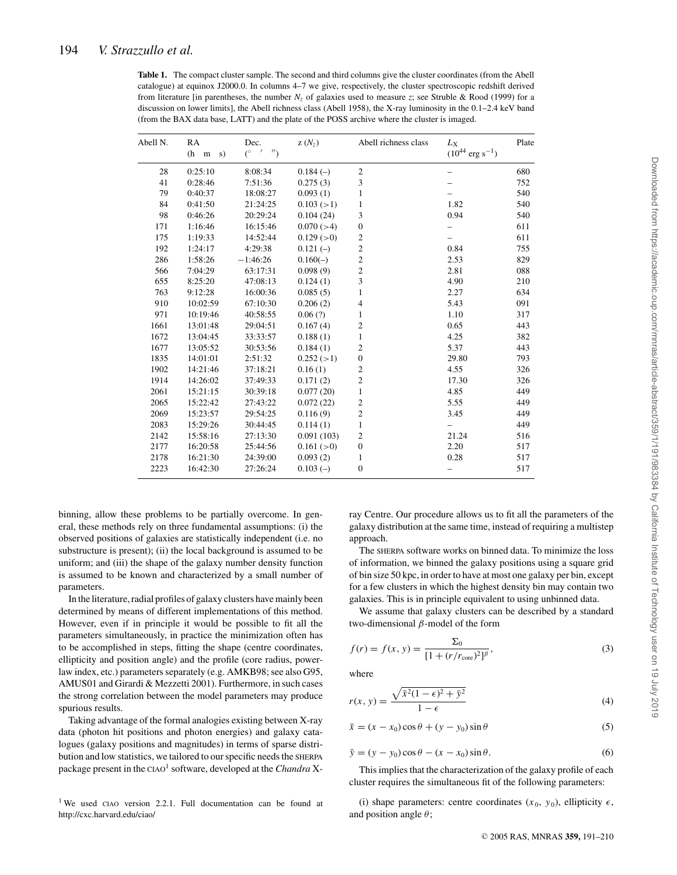**Table 1.** The compact cluster sample. The second and third columns give the cluster coordinates (from the Abell catalogue) at equinox J2000.0. In columns 4–7 we give, respectively, the cluster spectroscopic redshift derived from literature [in parentheses, the number  $N_z$  of galaxies used to measure *z*; see Struble & Rood (1999) for a discussion on lower limits], the Abell richness class (Abell 1958), the X-ray luminosity in the 0.1–2.4 keV band (from the BAX data base, LATT) and the plate of the POSS archive where the cluster is imaged.

| Abell N. | RA               | Dec.                                                           | $Z(N_z)$   | Abell richness class    | $L_{\rm X}$                    | Plate |
|----------|------------------|----------------------------------------------------------------|------------|-------------------------|--------------------------------|-------|
|          | $(h \, m)$<br>s) | $^{\prime\prime}$<br>$\mathcal{O}$<br>$\overline{\phantom{a}}$ |            |                         | $(10^{44} \text{ erg s}^{-1})$ |       |
| 28       | 0:25:10          | 8:08:34                                                        | $0.184(-)$ | $\overline{2}$          |                                | 680   |
| 41       | 0:28:46          | 7:51:36                                                        | 0.275(3)   | 3                       |                                | 752   |
| 79       | 0:40:37          | 18:08:27                                                       | 0.093(1)   | 1                       |                                | 540   |
| 84       | 0:41:50          | 21:24:25                                                       | 0.103 (>1) | $\mathbf{1}$            | 1.82                           | 540   |
| 98       | 0:46:26          | 20:29:24                                                       | 0.104(24)  | 3                       | 0.94                           | 540   |
| 171      | 1:16:46          | 16:15:46                                                       | 0.070 (>4) | $\boldsymbol{0}$        |                                | 611   |
| 175      | 1:19:33          | 14:52:44                                                       | 0.129 (>0) | $\mathfrak{2}$          |                                | 611   |
| 192      | 1:24:17          | 4:29:38                                                        | $0.121(-)$ | $\overline{c}$          | 0.84                           | 755   |
| 286      | 1:58:26          | $-1:46:26$                                                     | $0.160(-)$ | $\overline{\mathbf{c}}$ | 2.53                           | 829   |
| 566      | 7:04:29          | 63:17:31                                                       | 0.098(9)   | $\overline{c}$          | 2.81                           | 088   |
| 655      | 8:25:20          | 47:08:13                                                       | 0.124(1)   | 3                       | 4.90                           | 210   |
| 763      | 9:12:28          | 16:00:36                                                       | 0.085(5)   | $\mathbf{1}$            | 2.27                           | 634   |
| 910      | 10:02:59         | 67:10:30                                                       | 0.206(2)   | $\overline{4}$          | 5.43                           | 091   |
| 971      | 10:19:46         | 40:58:55                                                       | 0.06(?)    | 1                       | 1.10                           | 317   |
| 1661     | 13:01:48         | 29:04:51                                                       | 0.167(4)   | $\overline{c}$          | 0.65                           | 443   |
| 1672     | 13:04:45         | 33:33:57                                                       | 0.188(1)   | $\mathbf{1}$            | 4.25                           | 382   |
| 1677     | 13:05:52         | 30:53:56                                                       | 0.184(1)   | 2                       | 5.37                           | 443   |
| 1835     | 14:01:01         | 2:51:32                                                        | 0.252 (>1) | $\boldsymbol{0}$        | 29.80                          | 793   |
| 1902     | 14:21:46         | 37:18:21                                                       | 0.16(1)    | 2                       | 4.55                           | 326   |
| 1914     | 14:26:02         | 37:49:33                                                       | 0.171(2)   | $\overline{c}$          | 17.30                          | 326   |
| 2061     | 15:21:15         | 30:39:18                                                       | 0.077(20)  | $\mathbf{1}$            | 4.85                           | 449   |
| 2065     | 15:22:42         | 27:43:22                                                       | 0.072(22)  | $\overline{c}$          | 5.55                           | 449   |
| 2069     | 15:23:57         | 29:54:25                                                       | 0.116(9)   | $\overline{c}$          | 3.45                           | 449   |
| 2083     | 15:29:26         | 30:44:45                                                       | 0.114(1)   | $\mathbf{1}$            |                                | 449   |
| 2142     | 15:58:16         | 27:13:30                                                       | 0.091(103) | 2                       | 21.24                          | 516   |
| 2177     | 16:20:58         | 25:44:56                                                       | 0.161 (>0) | $\boldsymbol{0}$        | 2.20                           | 517   |
| 2178     | 16:21:30         | 24:39:00                                                       | 0.093(2)   | 1                       | 0.28                           | 517   |
| 2223     | 16:42:30         | 27:26:24                                                       | $0.103(-)$ | $\boldsymbol{0}$        |                                | 517   |
|          |                  |                                                                |            |                         |                                |       |

binning, allow these problems to be partially overcome. In general, these methods rely on three fundamental assumptions: (i) the observed positions of galaxies are statistically independent (i.e. no substructure is present); (ii) the local background is assumed to be uniform; and (iii) the shape of the galaxy number density function is assumed to be known and characterized by a small number of parameters.

In the literature, radial profiles of galaxy clusters have mainly been determined by means of different implementations of this method. However, even if in principle it would be possible to fit all the parameters simultaneously, in practice the minimization often has to be accomplished in steps, fitting the shape (centre coordinates, ellipticity and position angle) and the profile (core radius, powerlaw index, etc.) parameters separately (e.g. AMKB98; see also G95, AMUS01 and Girardi & Mezzetti 2001). Furthermore, in such cases the strong correlation between the model parameters may produce spurious results.

Taking advantage of the formal analogies existing between X-ray data (photon hit positions and photon energies) and galaxy catalogues (galaxy positions and magnitudes) in terms of sparse distribution and low statistics, we tailored to our specific needs the SHERPA package present in the CIAO<sup>1</sup> software, developed at the *Chandra* X-

<sup>1</sup> We used CIAO version 2.2.1. Full documentation can be found at http://cxc.harvard.edu/ciao/

ray Centre. Our procedure allows us to fit all the parameters of the galaxy distribution at the same time, instead of requiring a multistep approach.

The SHERPA software works on binned data. To minimize the loss of information, we binned the galaxy positions using a square grid of bin size 50 kpc, in order to have at most one galaxy per bin, except for a few clusters in which the highest density bin may contain two galaxies. This is in principle equivalent to using unbinned data.

We assume that galaxy clusters can be described by a standard two-dimensional β-model of the form

$$
f(r) = f(x, y) = \frac{\Sigma_0}{[1 + (r/r_{\text{core}})^2]^{\beta}},
$$
\n(3)

where

$$
r(x, y) = \frac{\sqrt{\bar{x}^2(1 - \epsilon)^2 + \bar{y}^2}}{1 - \epsilon}
$$
 (4)

$$
\bar{x} = (x - x_0)\cos\theta + (y - y_0)\sin\theta\tag{5}
$$

$$
\bar{y} = (y - y_0)\cos\theta - (x - x_0)\sin\theta. \tag{6}
$$

This implies that the characterization of the galaxy profile of each cluster requires the simultaneous fit of the following parameters:

(i) shape parameters: centre coordinates  $(x_0, y_0)$ , ellipticity  $\epsilon$ , and position angle  $\theta$ ;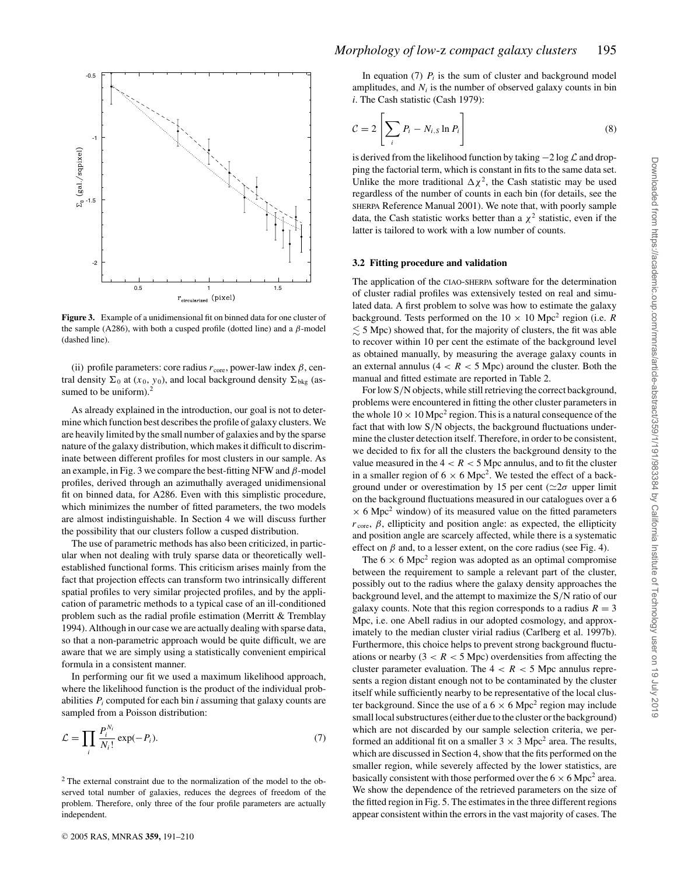

**Figure 3.** Example of a unidimensional fit on binned data for one cluster of the sample (A286), with both a cusped profile (dotted line) and a  $\beta$ -model (dashed line).

(ii) profile parameters: core radius  $r_{\text{core}}$ , power-law index  $\beta$ , central density  $\Sigma_0$  at  $(x_0, y_0)$ , and local background density  $\Sigma_{bkg}$  (assumed to be uniform).<sup>2</sup>

As already explained in the introduction, our goal is not to determine which function best describes the profile of galaxy clusters. We are heavily limited by the small number of galaxies and by the sparse nature of the galaxy distribution, which makes it difficult to discriminate between different profiles for most clusters in our sample. As an example, in Fig. 3 we compare the best-fitting NFW and  $\beta$ -model profiles, derived through an azimuthally averaged unidimensional fit on binned data, for A286. Even with this simplistic procedure, which minimizes the number of fitted parameters, the two models are almost indistinguishable. In Section 4 we will discuss further the possibility that our clusters follow a cusped distribution.

The use of parametric methods has also been criticized, in particular when not dealing with truly sparse data or theoretically wellestablished functional forms. This criticism arises mainly from the fact that projection effects can transform two intrinsically different spatial profiles to very similar projected profiles, and by the application of parametric methods to a typical case of an ill-conditioned problem such as the radial profile estimation (Merritt & Tremblay 1994). Although in our case we are actually dealing with sparse data, so that a non-parametric approach would be quite difficult, we are aware that we are simply using a statistically convenient empirical formula in a consistent manner.

In performing our fit we used a maximum likelihood approach, where the likelihood function is the product of the individual probabilities *Pi* computed for each bin *i* assuming that galaxy counts are sampled from a Poisson distribution:

$$
\mathcal{L} = \prod_{i} \frac{P_i^{N_i}}{N_i!} \exp(-P_i). \tag{7}
$$

<sup>2</sup> The external constraint due to the normalization of the model to the observed total number of galaxies, reduces the degrees of freedom of the problem. Therefore, only three of the four profile parameters are actually independent.

In equation (7)  $P_i$  is the sum of cluster and background model amplitudes, and  $N_i$  is the number of observed galaxy counts in bin *i*. The Cash statistic (Cash 1979):

$$
C = 2\left[\sum_{i} P_i - N_{i,S} \ln P_i\right]
$$
 (8)

is derived from the likelihood function by taking  $-2 \log \mathcal{L}$  and dropping the factorial term, which is constant in fits to the same data set. Unlike the more traditional  $\Delta \chi^2$ , the Cash statistic may be used regardless of the number of counts in each bin (for details, see the SHERPA Reference Manual 2001). We note that, with poorly sample data, the Cash statistic works better than a  $\chi^2$  statistic, even if the latter is tailored to work with a low number of counts.

#### **3.2 Fitting procedure and validation**

The application of the CIAO-SHERPA software for the determination of cluster radial profiles was extensively tested on real and simulated data. A first problem to solve was how to estimate the galaxy background. Tests performed on the  $10 \times 10$  Mpc<sup>2</sup> region (i.e. *R*  $\leq$  5 Mpc) showed that, for the majority of clusters, the fit was able to recover within 10 per cent the estimate of the background level as obtained manually, by measuring the average galaxy counts in an external annulus  $(4 < R < 5$  Mpc) around the cluster. Both the manual and fitted estimate are reported in Table 2.

For low S/N objects, while still retrieving the correct background, problems were encountered in fitting the other cluster parameters in the whole  $10 \times 10$  Mpc<sup>2</sup> region. This is a natural consequence of the fact that with low S/N objects, the background fluctuations undermine the cluster detection itself. Therefore, in order to be consistent, we decided to fix for all the clusters the background density to the value measured in the  $4 < R < 5$  Mpc annulus, and to fit the cluster in a smaller region of  $6 \times 6$  Mpc<sup>2</sup>. We tested the effect of a background under or overestimation by 15 per cent ( $\simeq$ 2 $\sigma$  upper limit on the background fluctuations measured in our catalogues over a 6  $\times$  6 Mpc<sup>2</sup> window) of its measured value on the fitted parameters  $r_{\text{core}}$ ,  $\beta$ , ellipticity and position angle: as expected, the ellipticity and position angle are scarcely affected, while there is a systematic effect on  $\beta$  and, to a lesser extent, on the core radius (see Fig. 4).

The  $6 \times 6$  Mpc<sup>2</sup> region was adopted as an optimal compromise between the requirement to sample a relevant part of the cluster, possibly out to the radius where the galaxy density approaches the background level, and the attempt to maximize the S/N ratio of our galaxy counts. Note that this region corresponds to a radius  $R = 3$ Mpc, i.e. one Abell radius in our adopted cosmology, and approximately to the median cluster virial radius (Carlberg et al. 1997b). Furthermore, this choice helps to prevent strong background fluctuations or nearby  $(3 < R < 5$  Mpc) overdensities from affecting the cluster parameter evaluation. The  $4 < R < 5$  Mpc annulus represents a region distant enough not to be contaminated by the cluster itself while sufficiently nearby to be representative of the local cluster background. Since the use of a  $6 \times 6$  Mpc<sup>2</sup> region may include small local substructures (either due to the cluster or the background) which are not discarded by our sample selection criteria, we performed an additional fit on a smaller  $3 \times 3$  Mpc<sup>2</sup> area. The results, which are discussed in Section 4, show that the fits performed on the smaller region, while severely affected by the lower statistics, are basically consistent with those performed over the  $6 \times 6$  Mpc<sup>2</sup> area. We show the dependence of the retrieved parameters on the size of the fitted region in Fig. 5. The estimates in the three different regions appear consistent within the errors in the vast majority of cases. The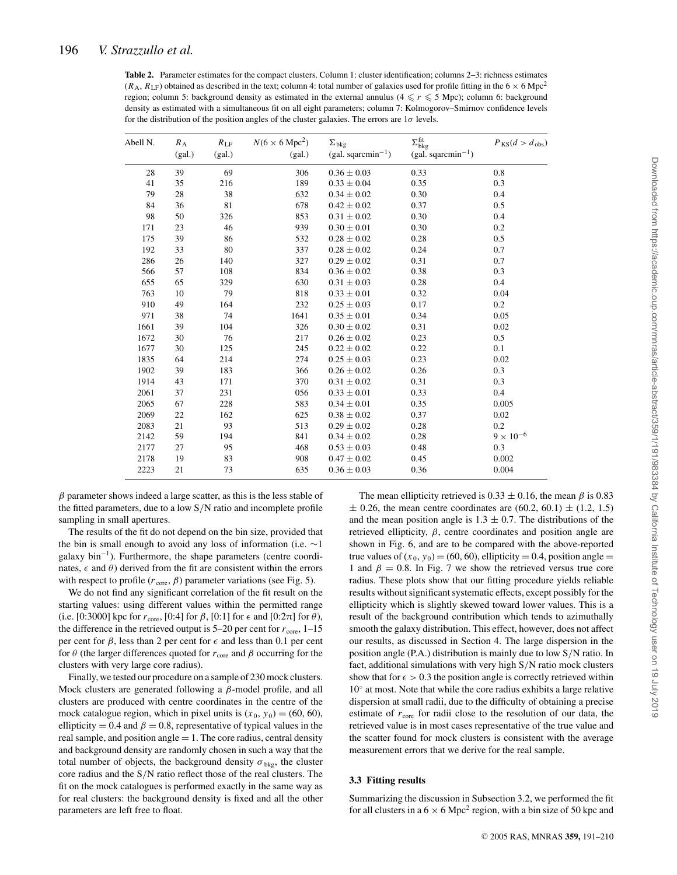**Table 2.** Parameter estimates for the compact clusters. Column 1: cluster identification; columns 2–3: richness estimates  $(R_A, R_{LF})$  obtained as described in the text; column 4: total number of galaxies used for profile fitting in the 6  $\times$  6 Mpc<sup>2</sup> region; column 5: background density as estimated in the external annulus ( $4 \le r \le 5$  Mpc); column 6: background density as estimated with a simultaneous fit on all eight parameters; column 7: Kolmogorov–Smirnov confidence levels for the distribution of the position angles of the cluster galaxies. The errors are  $1\sigma$  levels.

| Abell N. | $R_A$  | $R_{\text{LF}}$ | $N(6 \times 6 \text{ Mpc}^2)$ | $\Sigma_{\,bkg}$       | $\Sigma_{\rm bkg}^{\rm fit}$ | $P_{\rm KS}(d > d_{\rm obs})$ |
|----------|--------|-----------------|-------------------------------|------------------------|------------------------------|-------------------------------|
|          | (gal.) | (gal.)          | (gal.)                        | $(gal. sqarcmin^{-1})$ | $(gal. sqarcmin^{-1})$       |                               |
| 28       | 39     | 69              | 306                           | $0.36 \pm 0.03$        | 0.33                         | 0.8                           |
| 41       | 35     | 216             | 189                           | $0.33 \pm 0.04$        | 0.35                         | 0.3                           |
| 79       | 28     | 38              | 632                           | $0.34 \pm 0.02$        | 0.30                         | 0.4                           |
| 84       | 36     | 81              | 678                           | $0.42 \pm 0.02$        | 0.37                         | 0.5                           |
| 98       | 50     | 326             | 853                           | $0.31 \pm 0.02$        | 0.30                         | 0.4                           |
| 171      | 23     | 46              | 939                           | $0.30 \pm 0.01$        | 0.30                         | 0.2                           |
| 175      | 39     | 86              | 532                           | $0.28 \pm 0.02$        | 0.28                         | 0.5                           |
| 192      | 33     | 80              | 337                           | $0.28 \pm 0.02$        | 0.24                         | 0.7                           |
| 286      | 26     | 140             | 327                           | $0.29 \pm 0.02$        | 0.31                         | 0.7                           |
| 566      | 57     | 108             | 834                           | $0.36 \pm 0.02$        | 0.38                         | 0.3                           |
| 655      | 65     | 329             | 630                           | $0.31 \pm 0.03$        | 0.28                         | 0.4                           |
| 763      | 10     | 79              | 818                           | $0.33 \pm 0.01$        | 0.32                         | 0.04                          |
| 910      | 49     | 164             | 232                           | $0.25 \pm 0.03$        | 0.17                         | 0.2                           |
| 971      | 38     | 74              | 1641                          | $0.35 \pm 0.01$        | 0.34                         | 0.05                          |
| 1661     | 39     | 104             | 326                           | $0.30 \pm 0.02$        | 0.31                         | 0.02                          |
| 1672     | 30     | 76              | 217                           | $0.26 \pm 0.02$        | 0.23                         | 0.5                           |
| 1677     | 30     | 125             | 245                           | $0.22 \pm 0.02$        | 0.22                         | 0.1                           |
| 1835     | 64     | 214             | 274                           | $0.25 \pm 0.03$        | 0.23                         | 0.02                          |
| 1902     | 39     | 183             | 366                           | $0.26 \pm 0.02$        | 0.26                         | 0.3                           |
| 1914     | 43     | 171             | 370                           | $0.31 \pm 0.02$        | 0.31                         | 0.3                           |
| 2061     | 37     | 231             | 056                           | $0.33 \pm 0.01$        | 0.33                         | 0.4                           |
| 2065     | 67     | 228             | 583                           | $0.34 \pm 0.01$        | 0.35                         | 0.005                         |
| 2069     | 22     | 162             | 625                           | $0.38 \pm 0.02$        | 0.37                         | 0.02                          |
| 2083     | 21     | 93              | 513                           | $0.29 \pm 0.02$        | 0.28                         | 0.2                           |
| 2142     | 59     | 194             | 841                           | $0.34 \pm 0.02$        | 0.28                         | $9 \times 10^{-6}$            |
| 2177     | 27     | 95              | 468                           | $0.53\pm0.03$          | 0.48                         | 0.3                           |
| 2178     | 19     | 83              | 908                           | $0.47 \pm 0.02$        | 0.45                         | 0.002                         |
| 2223     | 21     | 73              | 635                           | $0.36 \pm 0.03$        | 0.36                         | 0.004                         |

 $\beta$  parameter shows indeed a large scatter, as this is the less stable of the fitted parameters, due to a low S/N ratio and incomplete profile sampling in small apertures.

The results of the fit do not depend on the bin size, provided that the bin is small enough to avoid any loss of information (i.e. ∼1 galaxy bin<sup>-1</sup>). Furthermore, the shape parameters (centre coordinates,  $\epsilon$  and  $\theta$ ) derived from the fit are consistent within the errors with respect to profile ( $r_{\text{core}}$ ,  $\beta$ ) parameter variations (see Fig. 5).

We do not find any significant correlation of the fit result on the starting values: using different values within the permitted range (i.e. [0:3000] kpc for  $r_{\text{core}}$ , [0:4] for  $\beta$ , [0:1] for  $\epsilon$  and [0:2 $\pi$ ] for  $\theta$ ), the difference in the retrieved output is  $5-20$  per cent for  $r_{\text{core}}$ ,  $1-15$ per cent for  $\beta$ , less than 2 per cent for  $\epsilon$  and less than 0.1 per cent for  $\theta$  (the larger differences quoted for  $r_{\text{core}}$  and  $\beta$  occurring for the clusters with very large core radius).

Finally, we tested our procedure on a sample of 230 mock clusters. Mock clusters are generated following a  $\beta$ -model profile, and all clusters are produced with centre coordinates in the centre of the mock catalogue region, which in pixel units is  $(x_0, y_0) = (60, 60)$ , ellipticity = 0.4 and  $\beta$  = 0.8, representative of typical values in the real sample, and position angle  $= 1$ . The core radius, central density and background density are randomly chosen in such a way that the total number of objects, the background density  $\sigma_{bkg}$ , the cluster core radius and the S/N ratio reflect those of the real clusters. The fit on the mock catalogues is performed exactly in the same way as for real clusters: the background density is fixed and all the other parameters are left free to float.

The mean ellipticity retrieved is  $0.33 \pm 0.16$ , the mean  $\beta$  is 0.83  $\pm$  0.26, the mean centre coordinates are (60.2, 60.1)  $\pm$  (1.2, 1.5) and the mean position angle is  $1.3 \pm 0.7$ . The distributions of the retrieved ellipticity,  $\beta$ , centre coordinates and position angle are shown in Fig. 6, and are to be compared with the above-reported true values of  $(x_0, y_0) = (60, 60)$ , ellipticity = 0.4, position angle = 1 and  $\beta = 0.8$ . In Fig. 7 we show the retrieved versus true core radius. These plots show that our fitting procedure yields reliable results without significant systematic effects, except possibly for the ellipticity which is slightly skewed toward lower values. This is a result of the background contribution which tends to azimuthally smooth the galaxy distribution. This effect, however, does not affect our results, as discussed in Section 4. The large dispersion in the position angle (P.A.) distribution is mainly due to low S/N ratio. In fact, additional simulations with very high S/N ratio mock clusters show that for  $\epsilon > 0.3$  the position angle is correctly retrieved within 10◦ at most. Note that while the core radius exhibits a large relative dispersion at small radii, due to the difficulty of obtaining a precise estimate of  $r_{\text{core}}$  for radii close to the resolution of our data, the retrieved value is in most cases representative of the true value and the scatter found for mock clusters is consistent with the average measurement errors that we derive for the real sample.

## **3.3 Fitting results**

Summarizing the discussion in Subsection 3.2, we performed the fit for all clusters in a  $6 \times 6$  Mpc<sup>2</sup> region, with a bin size of 50 kpc and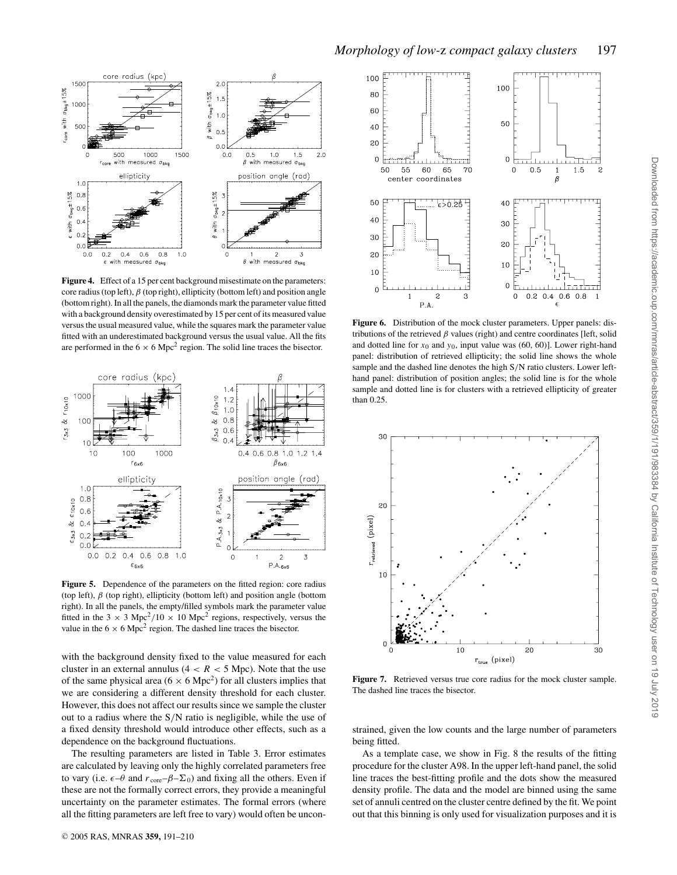

**Figure 4.** Effect of a 15 per cent background misestimate on the parameters: core radius (top left),  $\beta$  (top right), ellipticity (bottom left) and position angle (bottom right). In all the panels, the diamonds mark the parameter value fitted with a background density overestimated by 15 per cent of its measured value versus the usual measured value, while the squares mark the parameter value fitted with an underestimated background versus the usual value. All the fits are performed in the  $6 \times 6$  Mpc<sup>2</sup> region. The solid line traces the bisector.



**Figure 5.** Dependence of the parameters on the fitted region: core radius (top left),  $\beta$  (top right), ellipticity (bottom left) and position angle (bottom right). In all the panels, the empty/filled symbols mark the parameter value fitted in the 3  $\times$  3 Mpc<sup>2</sup>/10  $\times$  10 Mpc<sup>2</sup> regions, respectively, versus the value in the  $6 \times 6$  Mpc<sup>2</sup> region. The dashed line traces the bisector.

with the background density fixed to the value measured for each cluster in an external annulus ( $4 < R < 5$  Mpc). Note that the use of the same physical area ( $6 \times 6$  Mpc<sup>2</sup>) for all clusters implies that we are considering a different density threshold for each cluster. However, this does not affect our results since we sample the cluster out to a radius where the S/N ratio is negligible, while the use of a fixed density threshold would introduce other effects, such as a dependence on the background fluctuations.

The resulting parameters are listed in Table 3. Error estimates are calculated by leaving only the highly correlated parameters free to vary (i.e.  $\epsilon$ - $\theta$  and  $r_{\text{core}}$ - $\beta$ - $\Sigma$ <sub>0</sub>) and fixing all the others. Even if these are not the formally correct errors, they provide a meaningful uncertainty on the parameter estimates. The formal errors (where all the fitting parameters are left free to vary) would often be uncon-



Figure 6. Distribution of the mock cluster parameters. Upper panels: distributions of the retrieved  $\beta$  values (right) and centre coordinates [left, solid and dotted line for  $x_0$  and  $y_0$ , input value was (60, 60)]. Lower right-hand panel: distribution of retrieved ellipticity; the solid line shows the whole sample and the dashed line denotes the high S/N ratio clusters. Lower lefthand panel: distribution of position angles; the solid line is for the whole sample and dotted line is for clusters with a retrieved ellipticity of greater than 0.25.



Figure 7. Retrieved versus true core radius for the mock cluster sample. The dashed line traces the bisector.

strained, given the low counts and the large number of parameters being fitted.

As a template case, we show in Fig. 8 the results of the fitting procedure for the cluster A98. In the upper left-hand panel, the solid line traces the best-fitting profile and the dots show the measured density profile. The data and the model are binned using the same set of annuli centred on the cluster centre defined by the fit. We point out that this binning is only used for visualization purposes and it is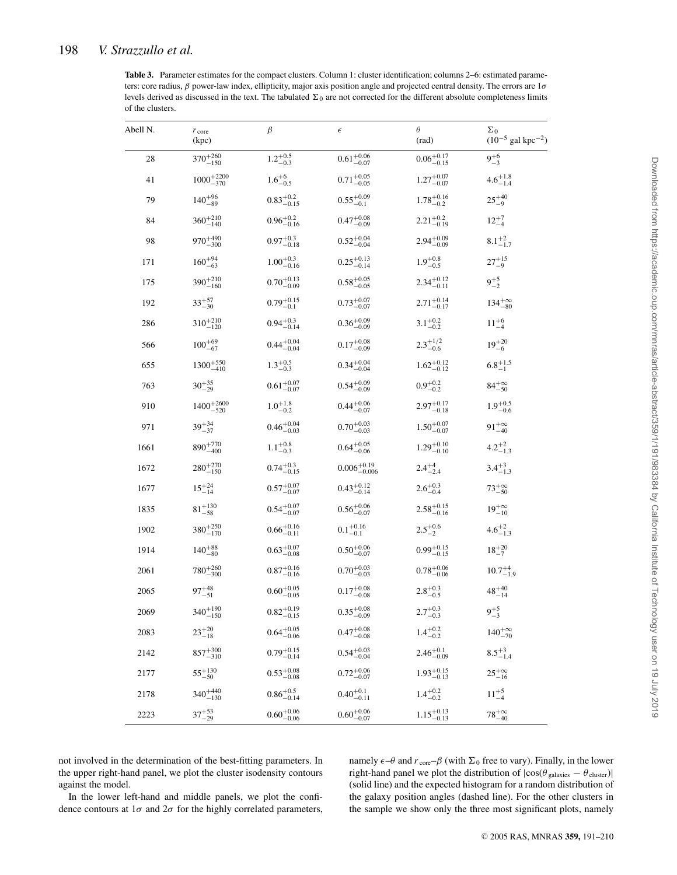**Table 3.** Parameter estimates for the compact clusters. Column 1: cluster identification; columns 2–6: estimated parameters: core radius,  $\beta$  power-law index, ellipticity, major axis position angle and projected central density. The errors are 1 $\sigma$ levels derived as discussed in the text. The tabulated  $\Sigma_0$  are not corrected for the different absolute completeness limits of the clusters.

| Abell N. | $r_{\rm core}$<br>(kpc) | $\beta$                         | $\epsilon$                        | $\theta$<br>(rad)        | $\Sigma_0$<br>$(10^{-5}$ gal kpc <sup>-2</sup> ) |
|----------|-------------------------|---------------------------------|-----------------------------------|--------------------------|--------------------------------------------------|
| 28       | $370^{+260}_{-150}$     | $1.2^{+0.5}_{-0.3}$             | $0.61^{+0.06}_{-0.07}$            | $0.06^{+0.17}_{-0.15}$   | $9^{+6}_{-3}$                                    |
| 41       | $1000^{+2200}_{-370}$   | $1.6^{+6}_{-0.5}$               | $0.71^{+0.05}_{-0.05}$            | $1.27^{+0.07}_{-0.07}$   | $4.6^{+1.8}_{-1.4}$                              |
| 79       | $140^{+96}_{-89}$       | $0.83^{+0.2}_{-0.15}$           | $0.55^{+0.09}_{-0.1}$             | $1.78^{+0.16}_{-0.2}$    | $25^{+40}_{-9}$                                  |
| 84       | $360^{+210}_{-140}$     | $0.96^{+0.2}_{-0.16}$           | $0.47^{+0.08}_{-0.09}$            | $2.21_{-0.19}^{+0.2}$    | $12^{+7}_{-4}$                                   |
| 98       | $970^{+490}_{-300}$     | $0.97^{+0.3}_{-0.18}$           | $0.52^{+0.04}_{-0.04}$            | $2.94^{+0.09}_{-0.09}$   | $8.1^{+2}_{-1.7}$                                |
| 171      | $160^{+94}_{-63}$       | $1.00^{+0.3}_{-0.16}$           | $0.25_{-0.14}^{+0.13}$            | $1.9^{+0.8}_{-0.5}$      | $27^{+15}_{-9}$                                  |
| 175      | $390^{+210}_{-160}$     | $0.70\substack{+0.13 \\ -0.09}$ | $0.58\substack{+0.05 \\ -0.05}$   | $2.34_{-0.11}^{+0.12}$   | $9^{+5}_{-2}$                                    |
| 192      | $33^{+57}_{-30}$        | $0.79^{+0.15}_{-0.1}$           | $0.73^{+0.07}_{-0.07}$            | $2.71^{+0.14}_{-0.17}$   | $134^{+\infty}_{-80}$                            |
| 286      | $310^{+210}_{-120}$     | $0.94^{+0.3}_{-0.14}$           | $0.36_{-0.09}^{+0.09}$            | $3.1^{+0.2}_{-0.2}$      | $11^{+6}_{-4}$                                   |
| 566      | $100^{+69}_{-67}$       | $0.44^{+0.04}_{-0.04}$          | $0.17^{+0.08}_{-0.09}$            | $2.3^{+1/2}_{-0.6}$      | $19^{+20}_{-6}$                                  |
| 655      | $1300^{+550}_{-410}$    | $1.3^{+0.5}_{-0.3}$             | $0.34_{-0.04}^{+0.04}$            | $1.62^{+0.12}_{-0.12}$   | $6.8^{+1.5}_{-1}$                                |
| 763      | $30^{+35}_{-29}$        | $0.61^{+0.07}_{-0.07}$          | $0.54^{+0.09}_{-0.09}$            | $0.9^{+0.2}_{-0.2}$      | $84^{+\infty}_{-50}$                             |
| 910      | $1400^{+2600}_{-520}$   | $1.0^{+1.8}_{-0.2}$             | $0.44^{+0.06}_{-0.07}$            | $2.97^{+0.17}_{-0.18}$   | $1.9^{+0.5}_{-0.6}$                              |
| 971      | $39^{+34}_{-37}$        | $0.46^{+0.04}_{-0.03}$          | $0.70^{+0.03}_{-0.03}$            | $1.50^{+0.07}_{-0.07}\,$ | $91^{+\infty}_{-40}$                             |
| 1661     | $890^{+770}_{-400}$     | $1.1^{+0.8}_{-0.3}$             | $0.64\substack{+0.05 \\ -0.06}$   | $1.29^{+0.10}_{-0.10}$   | $4.2^{+2}_{-1.3}$                                |
| 1672     | $280^{+270}_{-150}\,$   | $0.74^{+0.3}_{-0.15}$           | $0.006\substack{+0.19 \\ -0.006}$ | $2.4^{+4}_{-2.4}$        | $3.4^{+3}_{-1.3}$                                |
| 1677     | $15^{+24}_{-14}$        | $0.57^{+0.07}_{-0.07}$          | $0.43^{+0.12}_{-0.14}$            | $2.6^{+0.3}_{-0.4}$      | $73^{+\infty}_{-50}$                             |
| 1835     | $81^{+130}_{-58}$       | $0.54^{+0.07}_{-0.07}$          | $0.56^{+0.06}_{-0.07}$            | $2.58^{+0.15}_{-0.16}$   | $19^{+\infty}_{-10}$                             |
| 1902     | $380^{+250}_{-170}$     | $0.66^{+0.16}_{-0.11}$          | $0.1^{+0.16}_{-0.1}$              | $2.5^{+0.6}_{-2}$        | $4.6^{+2}_{-1.3}$                                |
| 1914     | $140^{+88}_{-80}$       | $0.63^{+0.07}_{-0.08}$          | $0.50^{+0.06}_{-0.07}$            | $0.99^{+0.15}_{-0.15}$   | $18^{+20}_{-7}$                                  |
| 2061     | $780^{+260}_{-300}$     | $0.87^{+0.16}_{-0.16}$          | $0.70^{+0.03}_{-0.03}$            | $0.78^{+0.06}_{-0.06}$   | $10.7^{+4}_{-1.9}$                               |
| 2065     | $97^{+48}_{-51}$        | $0.60\substack{+0.05 \\ -0.05}$ | $0.17^{+0.08}_{-0.08}$            | $2.8^{+0.3}_{-0.5}$      | $48^{+40}_{-14}$                                 |
| 2069     | $340^{+190}_{-150}$     | $0.82^{+0.19}_{-0.15}$          | $0.35\substack{+0.08 \\ -0.09}$   | $2.7^{+0.3}_{-0.3}$      | $9^{+5}_{-3}$                                    |
| 2083     | $23^{+20}_{-18}$        | $0.64^{+0.05}_{-0.06}$          | $0.47^{+0.08}_{-0.08}$            | $1.4^{+0.2}_{-0.2}$      | $140^{+\infty}_{-70}$                            |
| 2142     | $857^{+300}_{-310}$     | $0.79^{+0.15}_{-0.14}$          | $0.54^{+0.03}_{-0.04}$            | $2.46^{+0.1}_{-0.09}$    | $8.5^{+3}_{-1.4}$                                |
| 2177     | $55^{+130}_{-50}$       | $0.53^{+0.08}_{-0.08}$          | $0.72^{+0.06}_{-0.07}$            | $1.93_{-0.13}^{+0.15}$   | $25^{+\infty}_{-16}$                             |
| 2178     | $340^{+440}_{-130}$     | $0.86^{+0.5}_{-0.14}$           | $0.40^{+0.1}_{-0.11}$             | $1.4^{+0.2}_{-0.2}$      | $11^{+5}_{-4}$                                   |
| 2223     | $37^{+53}_{-29}$        | $0.60\substack{+0.06 \\ -0.06}$ | $0.60\substack{+0.06 \\ -0.07}$   | $1.15^{+0.13}_{-0.13}$   | $78^{+\infty}_{-40}$                             |

not involved in the determination of the best-fitting parameters. In the upper right-hand panel, we plot the cluster isodensity contours against the model.

In the lower left-hand and middle panels, we plot the confidence contours at  $1\sigma$  and  $2\sigma$  for the highly correlated parameters, namely  $\epsilon$ – $\theta$  and  $r_{\text{core}}$ – $\beta$  (with  $\Sigma_0$  free to vary). Finally, in the lower right-hand panel we plot the distribution of  $|cos(\theta_{\text{galaxies}} - \theta_{\text{cluster}})|$ (solid line) and the expected histogram for a random distribution of the galaxy position angles (dashed line). For the other clusters in the sample we show only the three most significant plots, namely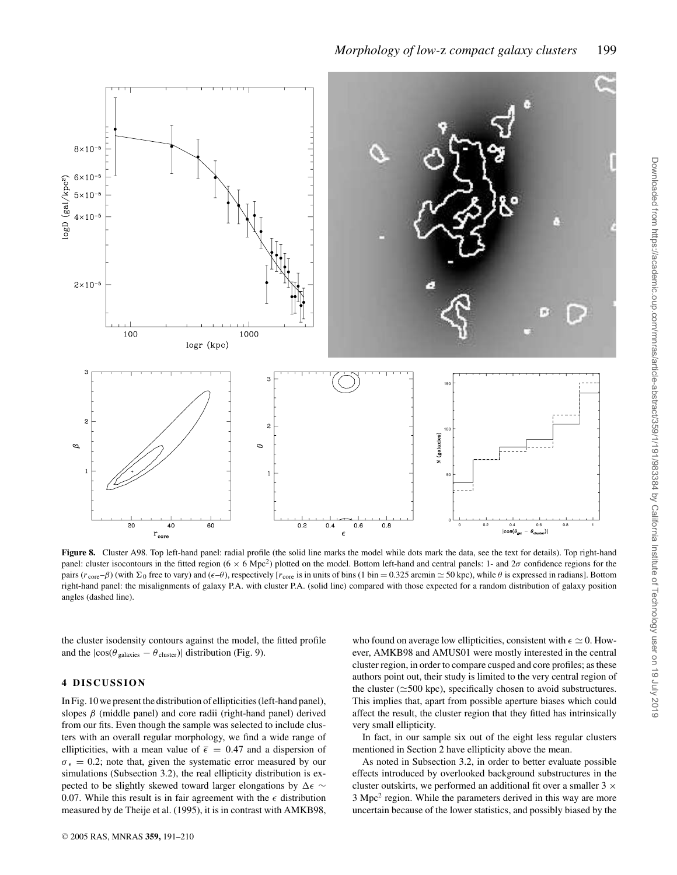

Figure 8. Cluster A98. Top left-hand panel: radial profile (the solid line marks the model while dots mark the data, see the text for details). Top right-hand panel: cluster isocontours in the fitted region (6  $\times$  6 Mpc<sup>2</sup>) plotted on the model. Bottom left-hand and central panels: 1- and  $2\sigma$  confidence regions for the pairs ( $r_{\text{core}} - \beta$ ) (with  $\Sigma_0$  free to vary) and ( $\epsilon - \theta$ ), respectively [ $r_{\text{core}}$  is in units of bins (1 bin = 0.325 arcmin  $\simeq$  50 kpc), while  $\theta$  is expressed in radians]. Bottom right-hand panel: the misalignments of galaxy P.A. with cluster P.A. (solid line) compared with those expected for a random distribution of galaxy position angles (dashed line).

the cluster isodensity contours against the model, the fitted profile and the  $|\cos(\theta_{\text{galaxies}} - \theta_{\text{cluster}})|$  distribution (Fig. 9).

## **4 DISCUSSION**

In Fig. 10 we present the distribution of ellipticities (left-hand panel), slopes  $\beta$  (middle panel) and core radii (right-hand panel) derived from our fits. Even though the sample was selected to include clusters with an overall regular morphology, we find a wide range of ellipticities, with a mean value of  $\overline{\epsilon} = 0.47$  and a dispersion of  $\sigma_{\epsilon} = 0.2$ ; note that, given the systematic error measured by our simulations (Subsection 3.2), the real ellipticity distribution is expected to be slightly skewed toward larger elongations by  $\Delta \epsilon \sim$ 0.07. While this result is in fair agreement with the  $\epsilon$  distribution measured by de Theije et al. (1995), it is in contrast with AMKB98,

who found on average low ellipticities, consistent with  $\epsilon \simeq 0$ . However, AMKB98 and AMUS01 were mostly interested in the central cluster region, in order to compare cusped and core profiles; as these authors point out, their study is limited to the very central region of the cluster ( $\simeq$ 500 kpc), specifically chosen to avoid substructures. This implies that, apart from possible aperture biases which could affect the result, the cluster region that they fitted has intrinsically very small ellipticity.

In fact, in our sample six out of the eight less regular clusters mentioned in Section 2 have ellipticity above the mean.

As noted in Subsection 3.2, in order to better evaluate possible effects introduced by overlooked background substructures in the cluster outskirts, we performed an additional fit over a smaller  $3 \times$ 3 Mpc2 region. While the parameters derived in this way are more uncertain because of the lower statistics, and possibly biased by the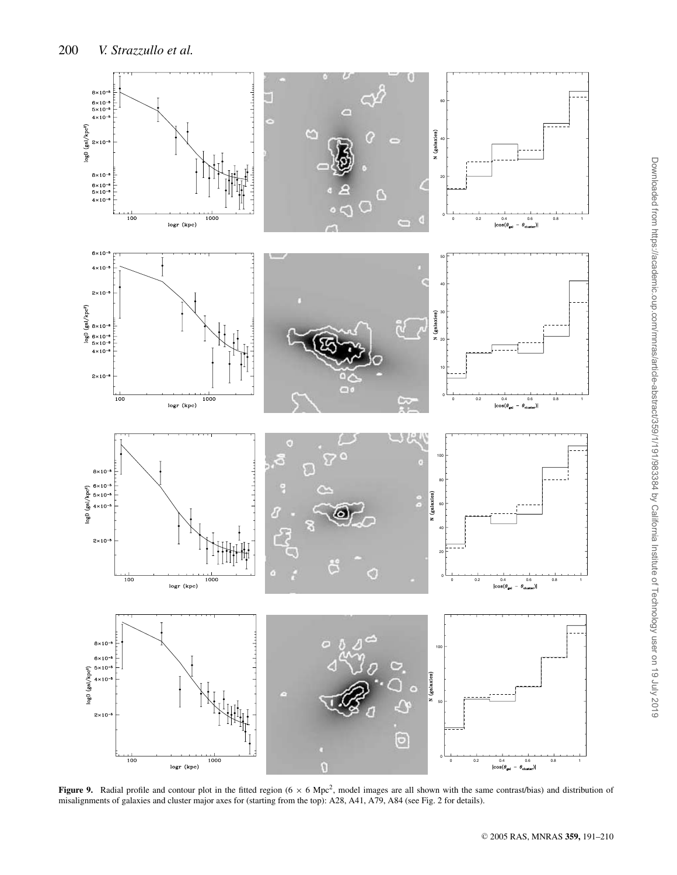

**Figure 9.** Radial profile and contour plot in the fitted region  $(6 \times 6 \text{ Mpc}^2)$ , model images are all shown with the same contrast/bias) and distribution of misalignments of galaxies and cluster major axes for (starting from the top): A28, A41, A79, A84 (see Fig. 2 for details).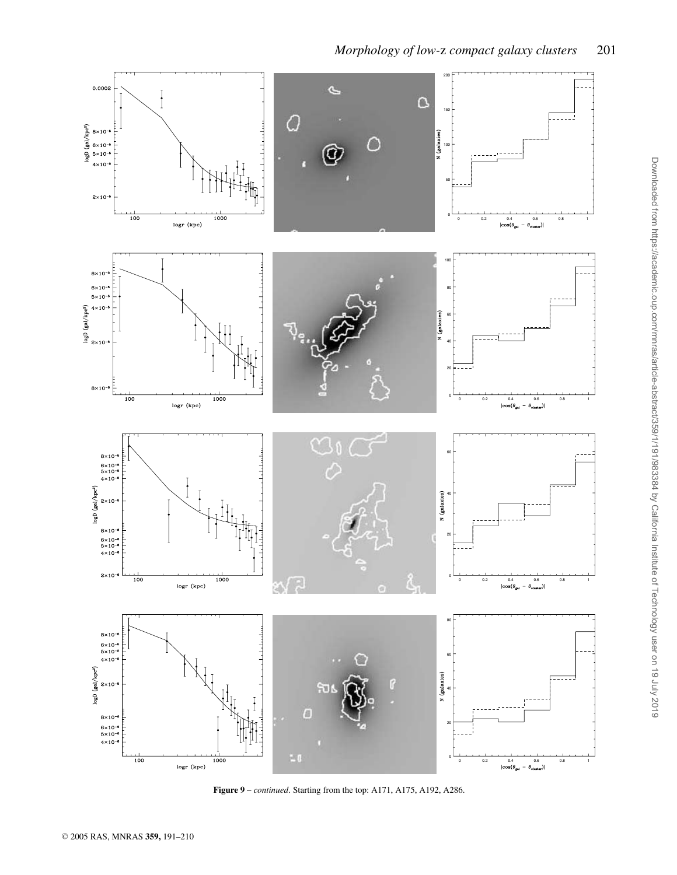

*Morphology of low-*z *compact galaxy clusters* 201

**Figure 9** – *continued*. Starting from the top: A171, A175, A192, A286.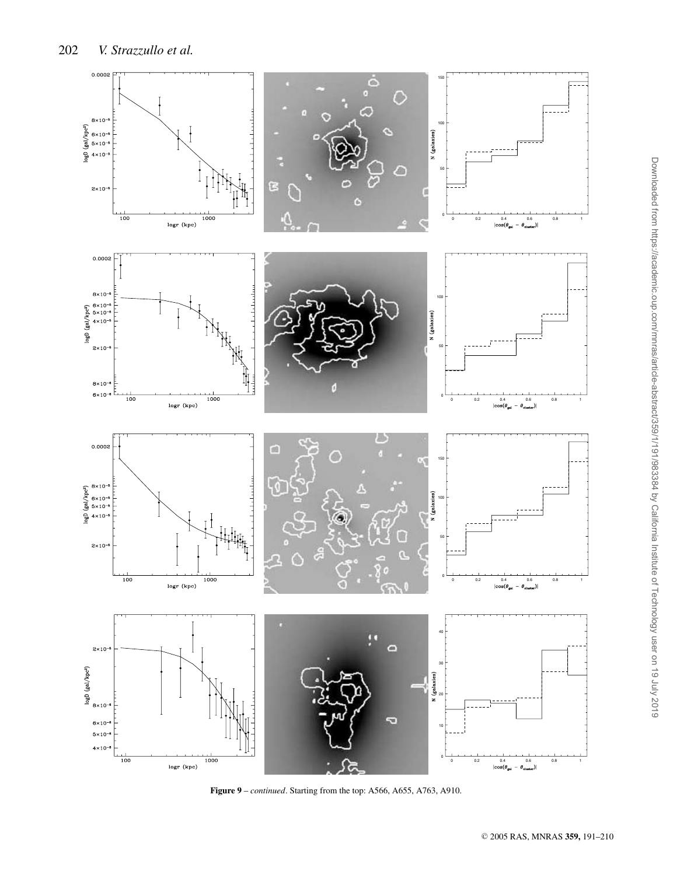

**Figure 9** – *continued*. Starting from the top: A566, A655, A763, A910.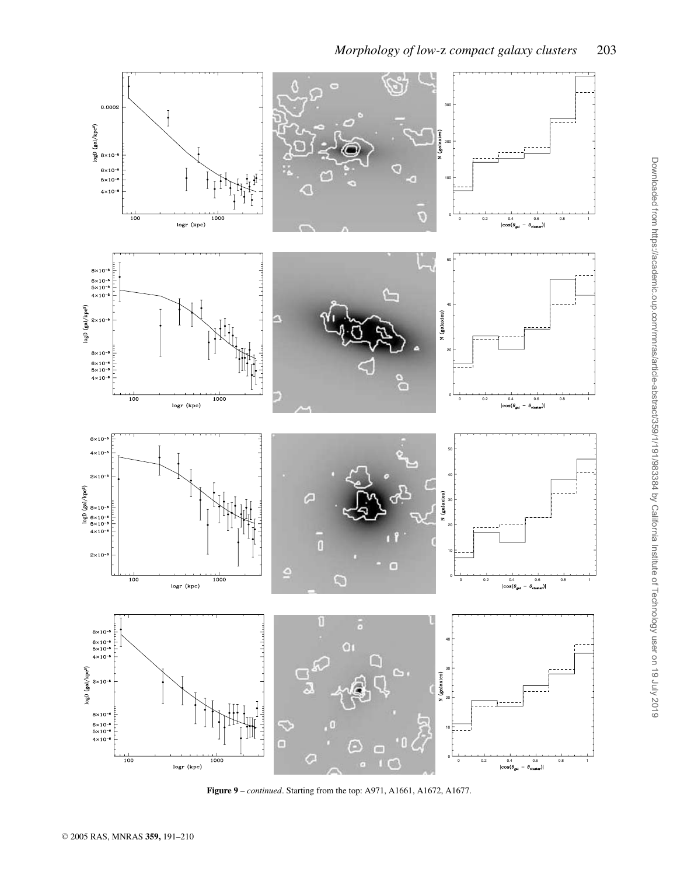

**Figure 9** – *continued*. Starting from the top: A971, A1661, A1672, A1677.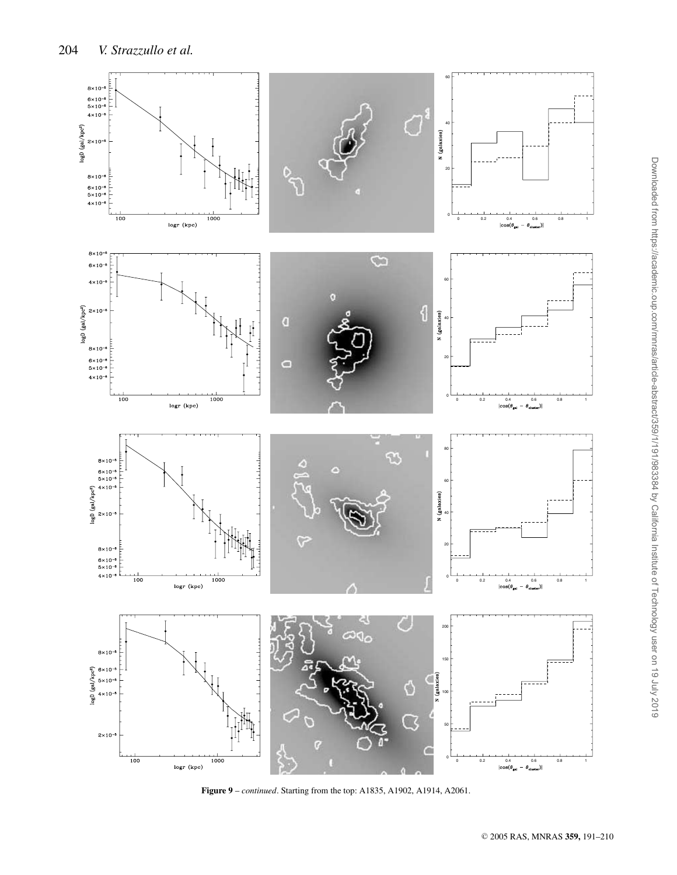

**Figure 9** – *continued*. Starting from the top: A1835, A1902, A1914, A2061.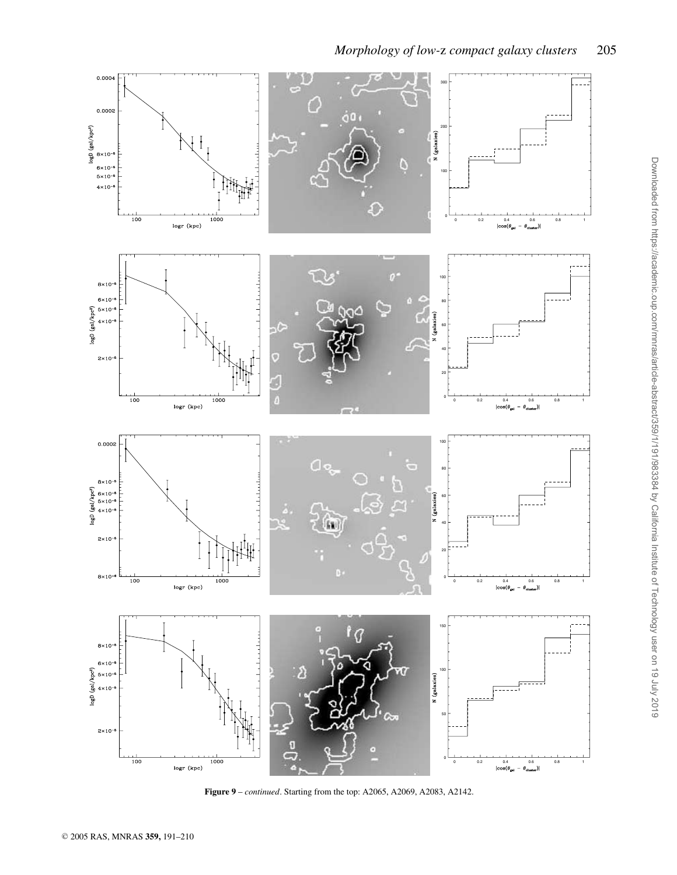

*Morphology of low-*z *compact galaxy clusters* 205

**Figure 9** – *continued*. Starting from the top: A2065, A2069, A2083, A2142.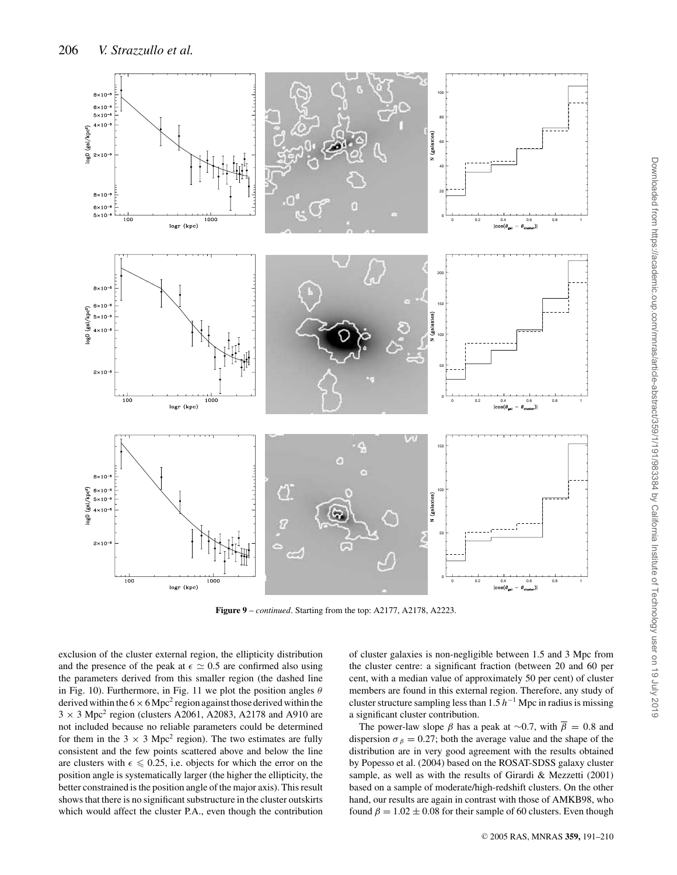

**Figure 9** – *continued*. Starting from the top: A2177, A2178, A2223.

exclusion of the cluster external region, the ellipticity distribution and the presence of the peak at  $\epsilon \simeq 0.5$  are confirmed also using the parameters derived from this smaller region (the dashed line in Fig. 10). Furthermore, in Fig. 11 we plot the position angles  $\theta$ derived within the  $6 \times 6$  Mpc<sup>2</sup> region against those derived within the  $3 \times 3$  Mpc<sup>2</sup> region (clusters A2061, A2083, A2178 and A910 are not included because no reliable parameters could be determined for them in the 3  $\times$  3 Mpc<sup>2</sup> region). The two estimates are fully consistent and the few points scattered above and below the line are clusters with  $\epsilon \leq 0.25$ , i.e. objects for which the error on the position angle is systematically larger (the higher the ellipticity, the better constrained is the position angle of the major axis). This result shows that there is no significant substructure in the cluster outskirts which would affect the cluster P.A., even though the contribution

of cluster galaxies is non-negligible between 1.5 and 3 Mpc from the cluster centre: a significant fraction (between 20 and 60 per cent, with a median value of approximately 50 per cent) of cluster members are found in this external region. Therefore, any study of cluster structure sampling less than 1.5 *h*−<sup>1</sup> Mpc in radius is missing a significant cluster contribution.

The power-law slope  $\beta$  has a peak at ~0.7, with  $\overline{\beta} = 0.8$  and dispersion  $\sigma_{\beta} = 0.27$ ; both the average value and the shape of the distribution are in very good agreement with the results obtained by Popesso et al. (2004) based on the ROSAT-SDSS galaxy cluster sample, as well as with the results of Girardi & Mezzetti (2001) based on a sample of moderate/high-redshift clusters. On the other hand, our results are again in contrast with those of AMKB98, who found  $\beta = 1.02 \pm 0.08$  for their sample of 60 clusters. Even though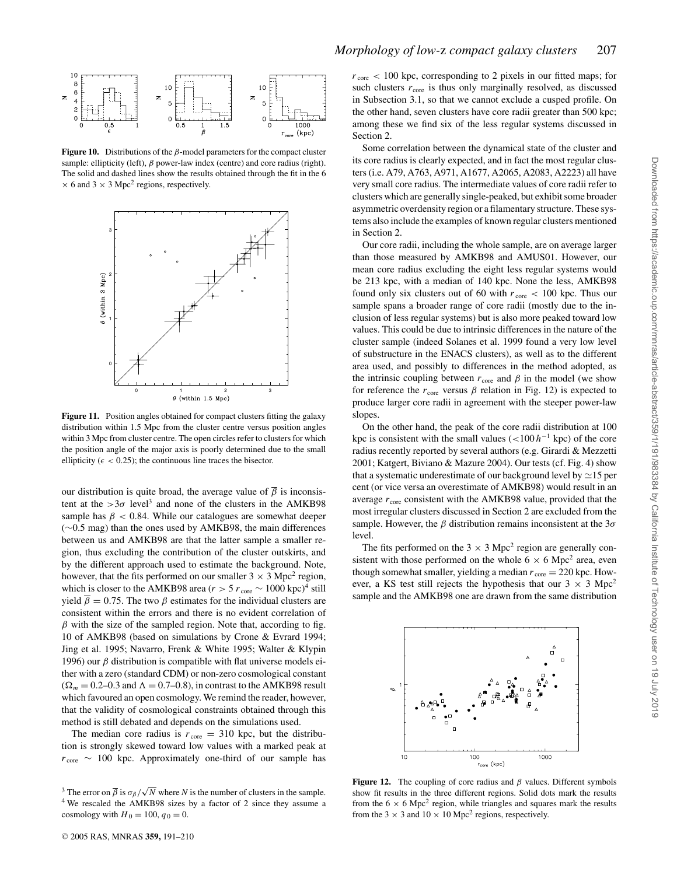

**Figure 10.** Distributions of the  $\beta$ -model parameters for the compact cluster sample: ellipticity (left),  $\beta$  power-law index (centre) and core radius (right). The solid and dashed lines show the results obtained through the fit in the 6  $\times$  6 and 3  $\times$  3 Mpc<sup>2</sup> regions, respectively.



Figure 11. Position angles obtained for compact clusters fitting the galaxy distribution within 1.5 Mpc from the cluster centre versus position angles within 3 Mpc from cluster centre. The open circles refer to clusters for which the position angle of the major axis is poorly determined due to the small ellipticity ( $\epsilon$  < 0.25); the continuous line traces the bisector.

our distribution is quite broad, the average value of  $\bar{\beta}$  is inconsistent at the  $>3\sigma$  level<sup>3</sup> and none of the clusters in the AMKB98 sample has  $\beta$  < 0.84. While our catalogues are somewhat deeper (∼0.5 mag) than the ones used by AMKB98, the main differences between us and AMKB98 are that the latter sample a smaller region, thus excluding the contribution of the cluster outskirts, and by the different approach used to estimate the background. Note, however, that the fits performed on our smaller  $3 \times 3$  Mpc<sup>2</sup> region, which is closer to the AMKB98 area ( $r > 5 r_{\text{core}} \sim 1000 \text{ kpc}$ )<sup>4</sup> still yield  $\bar{\beta} = 0.75$ . The two  $\beta$  estimates for the individual clusters are consistent within the errors and there is no evident correlation of  $\beta$  with the size of the sampled region. Note that, according to fig. 10 of AMKB98 (based on simulations by Crone & Evrard 1994; Jing et al. 1995; Navarro, Frenk & White 1995; Walter & Klypin 1996) our  $\beta$  distribution is compatible with flat universe models either with a zero (standard CDM) or non-zero cosmological constant  $(\Omega_m = 0.2{\text -}0.3$  and  $\Lambda = 0.7{\text -}0.8$ ), in contrast to the AMKB98 result which favoured an open cosmology. We remind the reader, however, that the validity of cosmological constraints obtained through this method is still debated and depends on the simulations used.

The median core radius is  $r_{\text{core}} = 310$  kpc, but the distribution is strongly skewed toward low values with a marked peak at *r* core ∼ 100 kpc. Approximately one-third of our sample has  $r_{\text{core}}$  < 100 kpc, corresponding to 2 pixels in our fitted maps; for such clusters  $r_{\text{core}}$  is thus only marginally resolved, as discussed in Subsection 3.1, so that we cannot exclude a cusped profile. On the other hand, seven clusters have core radii greater than 500 kpc; among these we find six of the less regular systems discussed in Section 2.

Some correlation between the dynamical state of the cluster and its core radius is clearly expected, and in fact the most regular clusters (i.e. A79, A763, A971, A1677, A2065, A2083, A2223) all have very small core radius. The intermediate values of core radii refer to clusters which are generally single-peaked, but exhibit some broader asymmetric overdensity region or a filamentary structure. These systems also include the examples of known regular clusters mentioned in Section 2.

Our core radii, including the whole sample, are on average larger than those measured by AMKB98 and AMUS01. However, our mean core radius excluding the eight less regular systems would be 213 kpc, with a median of 140 kpc. None the less, AMKB98 found only six clusters out of 60 with  $r_{\text{core}} < 100$  kpc. Thus our sample spans a broader range of core radii (mostly due to the inclusion of less regular systems) but is also more peaked toward low values. This could be due to intrinsic differences in the nature of the cluster sample (indeed Solanes et al. 1999 found a very low level of substructure in the ENACS clusters), as well as to the different area used, and possibly to differences in the method adopted, as the intrinsic coupling between  $r_{\text{core}}$  and  $\beta$  in the model (we show for reference the  $r_{\text{core}}$  versus  $\beta$  relation in Fig. 12) is expected to produce larger core radii in agreement with the steeper power-law slopes.

On the other hand, the peak of the core radii distribution at 100 kpc is consistent with the small values (<100 *h*−<sup>1</sup> kpc) of the core radius recently reported by several authors (e.g. Girardi & Mezzetti 2001; Katgert, Biviano & Mazure 2004). Our tests (cf. Fig. 4) show that a systematic underestimate of our background level by  $\simeq$  15 per cent (or vice versa an overestimate of AMKB98) would result in an average  $r_{\text{core}}$  consistent with the AMKB98 value, provided that the most irregular clusters discussed in Section 2 are excluded from the sample. However, the  $\beta$  distribution remains inconsistent at the 3 $\sigma$ level.

The fits performed on the  $3 \times 3$  Mpc<sup>2</sup> region are generally consistent with those performed on the whole  $6 \times 6$  Mpc<sup>2</sup> area, even though somewhat smaller, yielding a median  $r_{\text{core}} = 220$  kpc. However, a KS test still rejects the hypothesis that our  $3 \times 3 \text{ Mpc}^2$ sample and the AMKB98 one are drawn from the same distribution



**Figure 12.** The coupling of core radius and  $\beta$  values. Different symbols show fit results in the three different regions. Solid dots mark the results from the  $6 \times 6$  Mpc<sup>2</sup> region, while triangles and squares mark the results from the 3  $\times$  3 and 10  $\times$  10 Mpc<sup>2</sup> regions, respectively.

<sup>&</sup>lt;sup>3</sup> The error on  $\frac{\overline{\beta}}{\beta}$  is  $\sigma_{\beta}/\sqrt{N}$  where *N* is the number of clusters in the sample. <sup>4</sup> We rescaled the AMKB98 sizes by a factor of 2 since they assume a cosmology with  $H_0 = 100, q_0 = 0$ .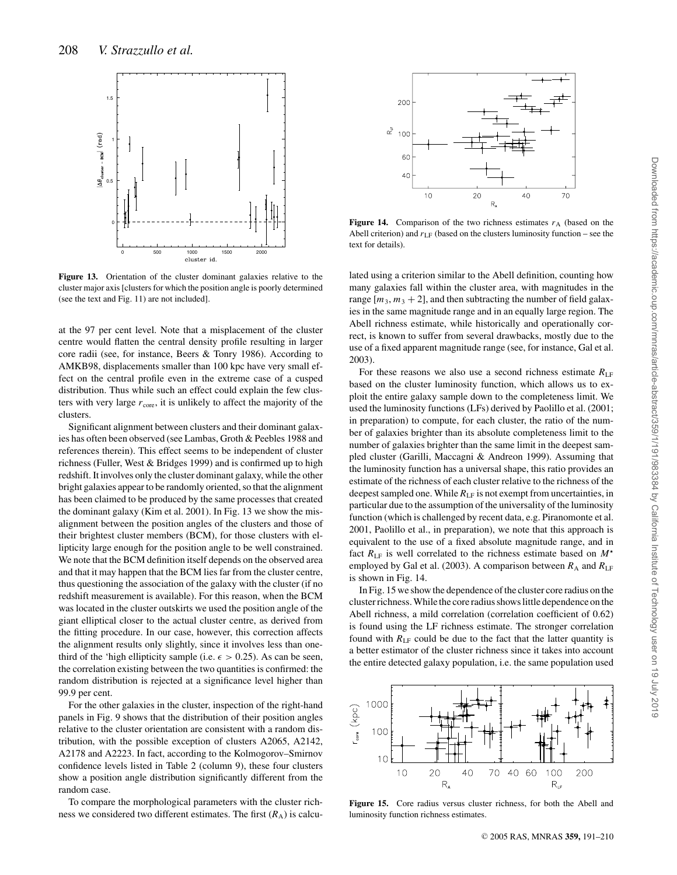

**Figure 13.** Orientation of the cluster dominant galaxies relative to the cluster major axis [clusters for which the position angle is poorly determined (see the text and Fig. 11) are not included].

at the 97 per cent level. Note that a misplacement of the cluster centre would flatten the central density profile resulting in larger core radii (see, for instance, Beers & Tonry 1986). According to AMKB98, displacements smaller than 100 kpc have very small effect on the central profile even in the extreme case of a cusped distribution. Thus while such an effect could explain the few clusters with very large  $r_{\text{core}}$ , it is unlikely to affect the majority of the clusters.

Significant alignment between clusters and their dominant galaxies has often been observed (see Lambas, Groth & Peebles 1988 and references therein). This effect seems to be independent of cluster richness (Fuller, West & Bridges 1999) and is confirmed up to high redshift. It involves only the cluster dominant galaxy, while the other bright galaxies appear to be randomly oriented, so that the alignment has been claimed to be produced by the same processes that created the dominant galaxy (Kim et al. 2001). In Fig. 13 we show the misalignment between the position angles of the clusters and those of their brightest cluster members (BCM), for those clusters with ellipticity large enough for the position angle to be well constrained. We note that the BCM definition itself depends on the observed area and that it may happen that the BCM lies far from the cluster centre, thus questioning the association of the galaxy with the cluster (if no redshift measurement is available). For this reason, when the BCM was located in the cluster outskirts we used the position angle of the giant elliptical closer to the actual cluster centre, as derived from the fitting procedure. In our case, however, this correction affects the alignment results only slightly, since it involves less than onethird of the 'high ellipticity sample (i.e.  $\epsilon > 0.25$ ). As can be seen, the correlation existing between the two quantities is confirmed: the random distribution is rejected at a significance level higher than 99.9 per cent.

For the other galaxies in the cluster, inspection of the right-hand panels in Fig. 9 shows that the distribution of their position angles relative to the cluster orientation are consistent with a random distribution, with the possible exception of clusters A2065, A2142, A2178 and A2223. In fact, according to the Kolmogorov–Smirnov confidence levels listed in Table 2 (column 9), these four clusters show a position angle distribution significantly different from the random case.

To compare the morphological parameters with the cluster richness we considered two different estimates. The first  $(R_A)$  is calcu-



**Figure 14.** Comparison of the two richness estimates  $r_A$  (based on the Abell criterion) and  $r_{LF}$  (based on the clusters luminosity function – see the text for details).

lated using a criterion similar to the Abell definition, counting how many galaxies fall within the cluster area, with magnitudes in the range  $[m_3, m_3 + 2]$ , and then subtracting the number of field galaxies in the same magnitude range and in an equally large region. The Abell richness estimate, while historically and operationally correct, is known to suffer from several drawbacks, mostly due to the use of a fixed apparent magnitude range (see, for instance, Gal et al. 2003).

For these reasons we also use a second richness estimate  $R_{LF}$ based on the cluster luminosity function, which allows us to exploit the entire galaxy sample down to the completeness limit. We used the luminosity functions (LFs) derived by Paolillo et al. (2001; in preparation) to compute, for each cluster, the ratio of the number of galaxies brighter than its absolute completeness limit to the number of galaxies brighter than the same limit in the deepest sampled cluster (Garilli, Maccagni & Andreon 1999). Assuming that the luminosity function has a universal shape, this ratio provides an estimate of the richness of each cluster relative to the richness of the deepest sampled one. While  $R_{LF}$  is not exempt from uncertainties, in particular due to the assumption of the universality of the luminosity function (which is challenged by recent data, e.g. Piranomonte et al. 2001, Paolillo et al., in preparation), we note that this approach is equivalent to the use of a fixed absolute magnitude range, and in fact  $R_{LF}$  is well correlated to the richness estimate based on  $M^*$ employed by Gal et al. (2003). A comparison between  $R_A$  and  $R_{LF}$ is shown in Fig. 14.

In Fig. 15 we show the dependence of the cluster core radius on the cluster richness. While the core radius shows little dependence on the Abell richness, a mild correlation (correlation coefficient of 0.62) is found using the LF richness estimate. The stronger correlation found with  $R_{LF}$  could be due to the fact that the latter quantity is a better estimator of the cluster richness since it takes into account the entire detected galaxy population, i.e. the same population used



**Figure 15.** Core radius versus cluster richness, for both the Abell and luminosity function richness estimates.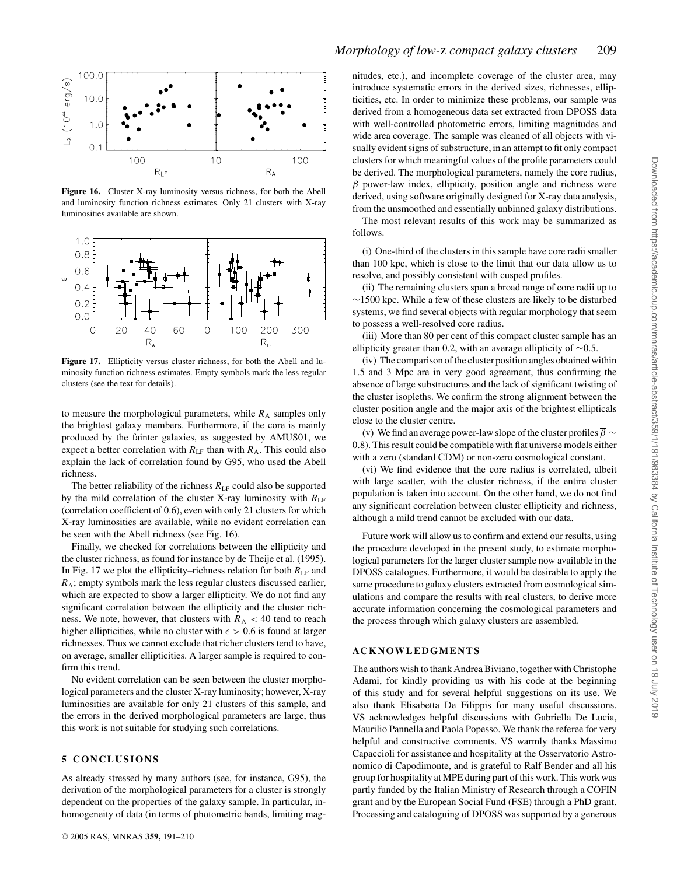

**Figure 16.** Cluster X-ray luminosity versus richness, for both the Abell and luminosity function richness estimates. Only 21 clusters with X-ray luminosities available are shown.



Figure 17. Ellipticity versus cluster richness, for both the Abell and luminosity function richness estimates. Empty symbols mark the less regular clusters (see the text for details).

to measure the morphological parameters, while  $R_A$  samples only the brightest galaxy members. Furthermore, if the core is mainly produced by the fainter galaxies, as suggested by AMUS01, we expect a better correlation with  $R_{\text{LF}}$  than with  $R_{\text{A}}$ . This could also explain the lack of correlation found by G95, who used the Abell richness.

The better reliability of the richness  $R_{LF}$  could also be supported by the mild correlation of the cluster X-ray luminosity with *R*LF (correlation coefficient of 0.6), even with only 21 clusters for which X-ray luminosities are available, while no evident correlation can be seen with the Abell richness (see Fig. 16).

Finally, we checked for correlations between the ellipticity and the cluster richness, as found for instance by de Theije et al. (1995). In Fig. 17 we plot the ellipticity–richness relation for both  $R_{LF}$  and *R*A; empty symbols mark the less regular clusters discussed earlier, which are expected to show a larger ellipticity. We do not find any significant correlation between the ellipticity and the cluster richness. We note, however, that clusters with  $R_A < 40$  tend to reach higher ellipticities, while no cluster with  $\epsilon > 0.6$  is found at larger richnesses. Thus we cannot exclude that richer clusters tend to have, on average, smaller ellipticities. A larger sample is required to confirm this trend.

No evident correlation can be seen between the cluster morphological parameters and the cluster X-ray luminosity; however, X-ray luminosities are available for only 21 clusters of this sample, and the errors in the derived morphological parameters are large, thus this work is not suitable for studying such correlations.

## **5 CONCLUSIONS**

As already stressed by many authors (see, for instance, G95), the derivation of the morphological parameters for a cluster is strongly dependent on the properties of the galaxy sample. In particular, inhomogeneity of data (in terms of photometric bands, limiting magnitudes, etc.), and incomplete coverage of the cluster area, may introduce systematic errors in the derived sizes, richnesses, ellipticities, etc. In order to minimize these problems, our sample was derived from a homogeneous data set extracted from DPOSS data with well-controlled photometric errors, limiting magnitudes and wide area coverage. The sample was cleaned of all objects with visually evident signs of substructure, in an attempt to fit only compact clusters for which meaningful values of the profile parameters could be derived. The morphological parameters, namely the core radius,  $\beta$  power-law index, ellipticity, position angle and richness were derived, using software originally designed for X-ray data analysis, from the unsmoothed and essentially unbinned galaxy distributions.

The most relevant results of this work may be summarized as follows.

(i) One-third of the clusters in this sample have core radii smaller than 100 kpc, which is close to the limit that our data allow us to resolve, and possibly consistent with cusped profiles.

(ii) The remaining clusters span a broad range of core radii up to ∼1500 kpc. While a few of these clusters are likely to be disturbed systems, we find several objects with regular morphology that seem to possess a well-resolved core radius.

(iii) More than 80 per cent of this compact cluster sample has an ellipticity greater than 0.2, with an average ellipticity of ∼0.5.

(iv) The comparison of the cluster position angles obtained within 1.5 and 3 Mpc are in very good agreement, thus confirming the absence of large substructures and the lack of significant twisting of the cluster isopleths. We confirm the strong alignment between the cluster position angle and the major axis of the brightest ellipticals close to the cluster centre.

(v) We find an average power-law slope of the cluster profiles  $\overline{\beta} \sim$ 0.8). This result could be compatible with flat universe models either with a zero (standard CDM) or non-zero cosmological constant.

(vi) We find evidence that the core radius is correlated, albeit with large scatter, with the cluster richness, if the entire cluster population is taken into account. On the other hand, we do not find any significant correlation between cluster ellipticity and richness, although a mild trend cannot be excluded with our data.

Future work will allow us to confirm and extend our results, using the procedure developed in the present study, to estimate morphological parameters for the larger cluster sample now available in the DPOSS catalogues. Furthermore, it would be desirable to apply the same procedure to galaxy clusters extracted from cosmological simulations and compare the results with real clusters, to derive more accurate information concerning the cosmological parameters and the process through which galaxy clusters are assembled.

## **ACKNOWLEDGMENTS**

The authors wish to thank Andrea Biviano, together with Christophe Adami, for kindly providing us with his code at the beginning of this study and for several helpful suggestions on its use. We also thank Elisabetta De Filippis for many useful discussions. VS acknowledges helpful discussions with Gabriella De Lucia, Maurilio Pannella and Paola Popesso. We thank the referee for very helpful and constructive comments. VS warmly thanks Massimo Capaccioli for assistance and hospitality at the Osservatorio Astronomico di Capodimonte, and is grateful to Ralf Bender and all his group for hospitality at MPE during part of this work. This work was partly funded by the Italian Ministry of Research through a COFIN grant and by the European Social Fund (FSE) through a PhD grant. Processing and cataloguing of DPOSS was supported by a generous